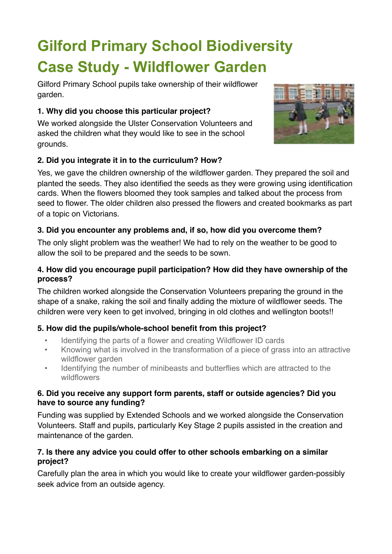# **Gilford Primary School Biodiversity Case Study - Wildflower Garden**

Gilford Primary School pupils take ownership of their wildflower garden.

# **1. Why did you choose this particular project?**

We worked alongside the Ulster Conservation Volunteers and asked the children what they would like to see in the school grounds.



# **2. Did you integrate it in to the curriculum? How?**

Yes, we gave the children ownership of the wildflower garden. They prepared the soil and planted the seeds. They also identified the seeds as they were growing using identification cards. When the flowers bloomed they took samples and talked about the process from seed to flower. The older children also pressed the flowers and created bookmarks as part of a topic on Victorians.

# **3. Did you encounter any problems and, if so, how did you overcome them?**

The only slight problem was the weather! We had to rely on the weather to be good to allow the soil to be prepared and the seeds to be sown.

#### **4. How did you encourage pupil participation? How did they have ownership of the process?**

The children worked alongside the Conservation Volunteers preparing the ground in the shape of a snake, raking the soil and finally adding the mixture of wildflower seeds. The children were very keen to get involved, bringing in old clothes and wellington boots!!

# **5. How did the pupils/whole-school benefit from this project?**

- Identifying the parts of a flower and creating Wildflower ID cards
- Knowing what is involved in the transformation of a piece of grass into an attractive wildflower garden
- Identifying the number of minibeasts and butterflies which are attracted to the wildflowers

#### **6. Did you receive any support form parents, staff or outside agencies? Did you have to source any funding?**

Funding was supplied by Extended Schools and we worked alongside the Conservation Volunteers. Staff and pupils, particularly Key Stage 2 pupils assisted in the creation and maintenance of the garden.

#### **7. Is there any advice you could offer to other schools embarking on a similar project?**

Carefully plan the area in which you would like to create your wildflower garden-possibly seek advice from an outside agency.